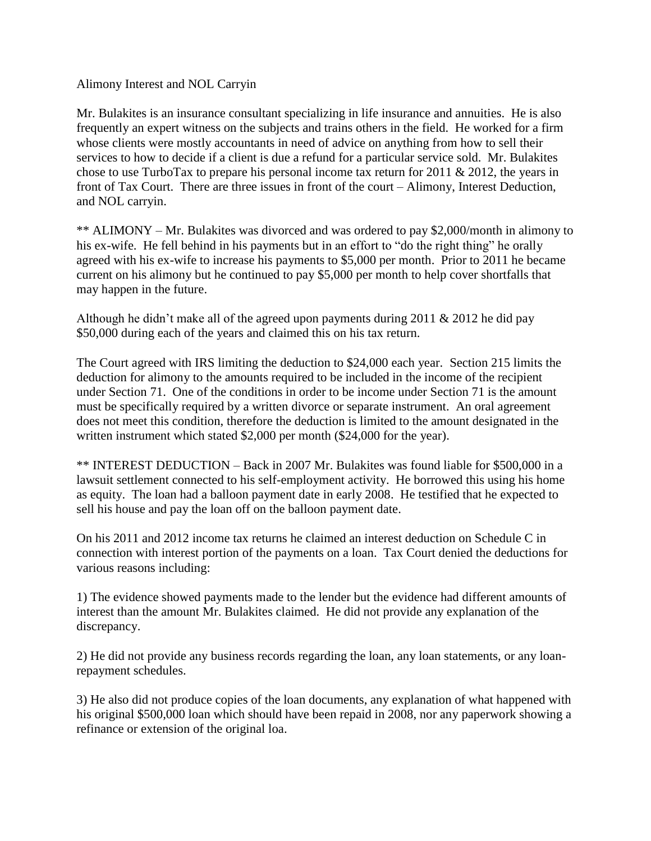Alimony Interest and NOL Carryin

Mr. Bulakites is an insurance consultant specializing in life insurance and annuities. He is also frequently an expert witness on the subjects and trains others in the field. He worked for a firm whose clients were mostly accountants in need of advice on anything from how to sell their services to how to decide if a client is due a refund for a particular service sold. Mr. Bulakites chose to use TurboTax to prepare his personal income tax return for 2011 & 2012, the years in front of Tax Court. There are three issues in front of the court – Alimony, Interest Deduction, and NOL carryin.

\*\* ALIMONY – Mr. Bulakites was divorced and was ordered to pay \$2,000/month in alimony to his ex-wife. He fell behind in his payments but in an effort to "do the right thing" he orally agreed with his ex-wife to increase his payments to \$5,000 per month. Prior to 2011 he became current on his alimony but he continued to pay \$5,000 per month to help cover shortfalls that may happen in the future.

Although he didn't make all of the agreed upon payments during 2011 & 2012 he did pay \$50,000 during each of the years and claimed this on his tax return.

The Court agreed with IRS limiting the deduction to \$24,000 each year. Section 215 limits the deduction for alimony to the amounts required to be included in the income of the recipient under Section 71. One of the conditions in order to be income under Section 71 is the amount must be specifically required by a written divorce or separate instrument. An oral agreement does not meet this condition, therefore the deduction is limited to the amount designated in the written instrument which stated \$2,000 per month (\$24,000 for the year).

\*\* INTEREST DEDUCTION – Back in 2007 Mr. Bulakites was found liable for \$500,000 in a lawsuit settlement connected to his self-employment activity. He borrowed this using his home as equity. The loan had a balloon payment date in early 2008. He testified that he expected to sell his house and pay the loan off on the balloon payment date.

On his 2011 and 2012 income tax returns he claimed an interest deduction on Schedule C in connection with interest portion of the payments on a loan. Tax Court denied the deductions for various reasons including:

1) The evidence showed payments made to the lender but the evidence had different amounts of interest than the amount Mr. Bulakites claimed. He did not provide any explanation of the discrepancy.

2) He did not provide any business records regarding the loan, any loan statements, or any loanrepayment schedules.

3) He also did not produce copies of the loan documents, any explanation of what happened with his original \$500,000 loan which should have been repaid in 2008, nor any paperwork showing a refinance or extension of the original loa.